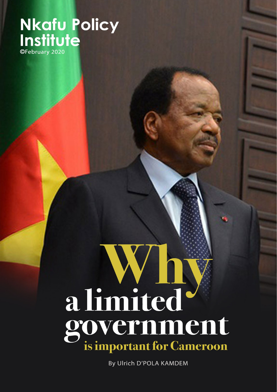# **Nkafu Policy** Institute

# a limited government

By Ulrich D'POLA KAMDEM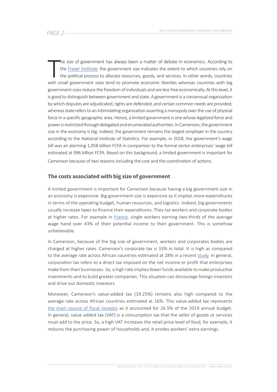The size of government has always been a matter of debate in economics. According to the **Fraser Institute**, the government size indicates the extent to which countries rely on the political process to allocate resources, he size of government has always been a matter of debate in economics. According to the [Fraser Institute](https://www.fraserinstitute.org/economic-freedom/approach), the government size indicates the extent to which countries rely on the political process to allocate resources, goods, and services. In other words, countries government sizes reduce the freedom of individuals and are less free economically. At this level, it is good to distinguish between government and state. A government is a consensual organization by which disputes are adjudicated, rights are defended, and certain common needs are provided; whereas state refers to an intimidating organization asserting a monopoly over the use of physical force in a specific geographic area. Hence, a limited government is one whose legalized force and power is restricted through delegated and enumerated authorities. In Cameroon, the government size in the economy is big. Indeed, the government remains the largest employer in the country according to the National Institute of Statistics. For example, in 2018, the government's wage bill was an alarming 1,058 billion FCFA in comparison to the formal sector enterprises' wage bill estimated at 996 billion FCFA. Based on this background, a limited government is important for Cameroon because of two reasons including the cost and the coordination of actions.

### **The costs associated with big size of government**

A limited government is important for Cameroon because having a big government size in an economy is expensive. Big government size is expensive as it implies more expenditures in terms of the operating budget, human resources, and logistics. Indeed, big governments usually increase taxes to finance their expenditures. They tax workers and corporate bodies at higher rates. For example in [France,](https://thehill.com/opinion/finance/449145-big-government-costs-the-little-guy) single workers earning two-thirds of the average wage hand over 43% of their potential income to their government. This is somehow unbelievable.

In Cameroon, because of the big size of government, workers and corporates bodies are charged at higher rates. Cameroon's corporate tax is 33% in total. It is high as compared to the average rate across African countries estimated at 28% in a recent [study.](https://www.icpak.com/wp-content/uploads/2018/08/2.-Taxation-in-Africa-FCCA-Donald-Nsanyiwa.pdf) In general, corporation tax refers to a direct tax imposed on the net income or profit that enterprises make from their businesses. So, a high rate implies fewer funds available to make productive investments and to build greater companies. This situation can discourage foreign investors and drive out domestic investors.

Moreover, Cameroon's value-added tax (19.25%) remains also high compared to the average rate across African countries estimated at 16%. This value-added tax represents [the main source of fiscal receipts](https://nkafu.org/report-analysis-of-the-2019-cameroon-budget/) as it accounted for 26.5% of the 2019 annual budget. In general, value-added tax (VAT) is a consumption tax that the seller of goods or services must add to the price. So, a high VAT increases the retail price level of food, for example, it reduces the purchasing power of households and, it erodes workers' extra earnings.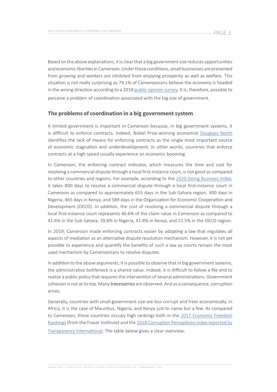Based on the above explanations, it is clear that a big government size reduces opportunities and economic liberties in Cameroon. Under these conditions, small businesses are prevented from growing and workers are inhibited from enjoying prosperity as well as welfare. This situation is not really surprising as 79.1% of Cameroonians believe the economy is headed in the wrong direction according to a 2018 [public opinion survey](http://nkafu.org/wp-content/uploads/2018/09/2018-Public-Opinion-Survey_Nkafu-Policy-Institute_Foretia-Foundation.pdf). It is, therefore, possible to perceive a problem of coordination associated with the big size of government.

### **The problems of coordination in a big government system**

A limited government is important in Cameroon because, in big government systems, it is difficult to enforce contracts. Indeed, Nobel Prize-winning economist [Douglass North](http://siteresources.worldbank.org/INTLAWJUSTINST/Resources/ContractEnforcementCairo.pdf) identifies the lack of means for enforcing contracts as the single most important source of economic stagnation and underdevelopment. In other words, countries that enforce contracts at a high speed usually experience an economic booming.

In Cameroon, the enforcing contract indicator, which measures the time and cost for resolving a commercial dispute through a local first-instance court, is not good as compared to other countries and regions. For example, according to the [2020 Doing Business Index](https://www.doingbusiness.org/en/data/exploretopics/enforcing-contracts), it takes 800 days to resolve a commercial dispute through a local first-instance court in Cameroon as compared to approximately 655 days in the Sub-Sahara region, 300 days in Nigeria, 465 days in Kenya, and 589 days in the Organization for Economic Cooperation and Development (OECD). In addition, the cost of resolving a commercial dispute through a local first-instance court represents 46.6% of the claim value in Cameroon as compared to 41.6% in the Sub-Sahara, 39.8% in Nigeria, 41.8% in Kenya, and 21.5% in the OECD region.

In 2019, Cameroon made enforcing contracts easier by adopting a law that regulates all aspects of mediation as an alternative dispute resolution mechanism. However, it is not yet possible to experience and quantify the benefits of such a law as courts remain the most used mechanism by Cameroonians to resolve disputes.

In addition to the above arguments, it is possible to observe that in big government systems, the administrative bottleneck is a shared value. Indeed, it is difficult to follow a file and to realize a public policy that requires the intervention of several administrations. Government cohesion is not at its top. Many *tracesseries* are observed. And as a consequence, corruption arises.

Generally, countries with small government size are less corrupt and freer economically. In Africa, it is the case of Mauritius, Nigeria, and Kenya just to name but a few. As compared to Cameroon, these countries occupy high rankings both in the 2017 Economic Freedom [Rankings](https://www.fraserinstitute.org/economic-freedom/dataset?geozone=world&min-year=2&max-year=0&filter=0&year=2017&page=dataset) (from the Fraser Institute) and the [2018 Corruption Perceptions Index reported by](https://www.transparency.org/country)  [Transparency International.](https://www.transparency.org/country) The table below gives a clear overview: